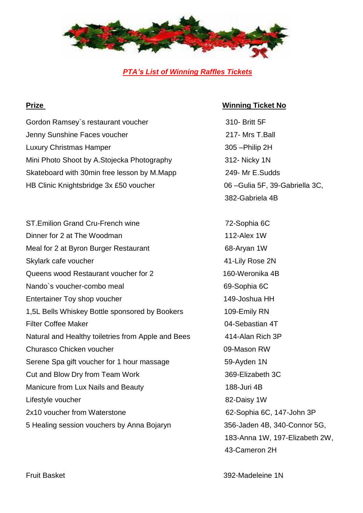

*PTA's List of Winning Raffles Tickets*

Gordon Ramsey's restaurant voucher 310- Britt 5F Jenny Sunshine Faces voucher 217- Mrs T.Ball Luxury Christmas Hamper 305 – Philip 2H Mini Photo Shoot by A.Stojecka Photography 312- Nicky 1N Skateboard with 30min free lesson by M.Mapp 249- Mr E.Sudds HB Clinic Knightsbridge 3x £50 voucher 06 –Gulia 5F, 39-Gabriella 3C,

ST.Emilion Grand Cru-French wine 72-Sophia 6C Dinner for 2 at The Woodman 112-Alex 1W Meal for 2 at Byron Burger Restaurant 68-Aryan 1W Skylark cafe voucher **41-Lily Rose 2N** Queens wood Restaurant voucher for 2 160-Weronika 4B Nando's voucher-combo meal 69-Sophia 6C Entertainer Toy shop voucher 149-Joshua HH 1,5L Bells Whiskey Bottle sponsored by Bookers 109-Emily RN Filter Coffee Maker 04-Sebastian 4T Natural and Healthy toiletries from Apple and Bees 414-Alan Rich 3P Churasco Chicken voucher **09-Mason RW** Serene Spa gift voucher for 1 hour massage 59-Ayden 1N Cut and Blow Dry from Team Work 369-Elizabeth 3C Manicure from Lux Nails and Beauty 188-Juri 4B Lifestyle voucher 82-Daisy 1W 2x10 voucher from Waterstone 62-Sophia 6C, 147-John 3P 5 Healing session vouchers by Anna Bojaryn 356-Jaden 4B, 340-Connor 5G,

## **Prize Winning Ticket No**

382-Gabriela 4B

183-Anna 1W, 197-Elizabeth 2W, 43-Cameron 2H